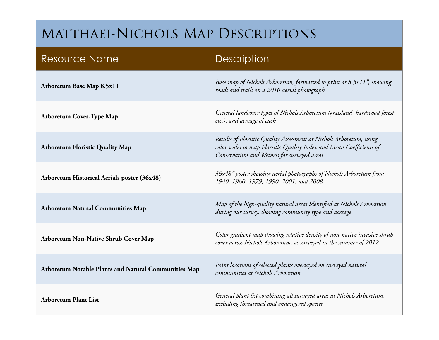| <b>Resource Name</b>                                 | <b>Description</b>                                                                                                                                                                         |
|------------------------------------------------------|--------------------------------------------------------------------------------------------------------------------------------------------------------------------------------------------|
| Arboretum Base Map 8.5x11                            | Base map of Nichols Arboretum, formatted to print at 8.5x11", showing<br>roads and trails on a 2010 aerial photograph                                                                      |
| <b>Arboretum Cover-Type Map</b>                      | General landcover types of Nichols Arboretum (grassland, hardwood forest,<br>etc.), and acreage of each                                                                                    |
| <b>Arboretum Floristic Quality Map</b>               | Results of Floristic Quality Assessment at Nichols Arboretum, using<br>color scales to map Floristic Quality Index and Mean Coefficients of<br>Conservatism and Wetness for surveyed areas |
| Arboretum Historical Aerials poster (36x48)          | 36x48" poster showing aerial photographs of Nichols Arboretum from<br>1940, 1960, 1979, 1990, 2001, and 2008                                                                               |
| <b>Arboretum Natural Communities Map</b>             | Map of the high-quality natural areas identified at Nichols Arboretum<br>during our survey, showing community type and acreage                                                             |
| <b>Arboretum Non-Native Shrub Cover Map</b>          | Color gradient map showing relative density of non-native invasive shrub<br>cover across Nichols Arboretum, as surveyed in the summer of 2012                                              |
| Arboretum Notable Plants and Natural Communities Map | Point locations of selected plants overlayed on surveyed natural<br>communities at Nichols Arboretum                                                                                       |
| <b>Arboretum Plant List</b>                          | General plant list combining all surveyed areas at Nichols Arboretum,<br>excluding threatened and endangered species                                                                       |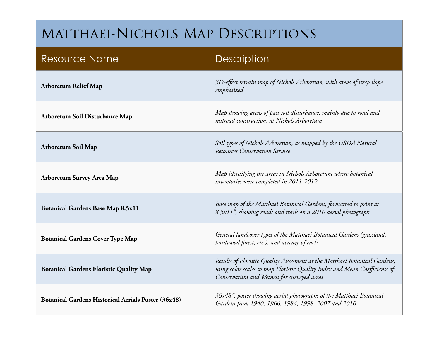| <b>Resource Name</b>                                       | <b>Description</b>                                                                                                                                                                                      |
|------------------------------------------------------------|---------------------------------------------------------------------------------------------------------------------------------------------------------------------------------------------------------|
| <b>Arboretum Relief Map</b>                                | 3D-effect terrain map of Nichols Arboretum, with areas of steep slope<br>emphasized                                                                                                                     |
| Arboretum Soil Disturbance Map                             | Map showing areas of past soil disturbance, mainly due to road and<br>railroad construction, at Nichols Arboretum                                                                                       |
| Arboretum Soil Map                                         | Soil types of Nichols Arboretum, as mapped by the USDA Natural<br><b>Resources Conservation Service</b>                                                                                                 |
| <b>Arboretum Survey Area Map</b>                           | Map identifying the areas in Nichols Arboretum where botanical<br>inventories were completed in 2011-2012                                                                                               |
| <b>Botanical Gardens Base Map 8.5x11</b>                   | Base map of the Matthaei Botanical Gardens, formatted to print at<br>8.5x11", showing roads and trails on a 2010 aerial photograph                                                                      |
| <b>Botanical Gardens Cover Type Map</b>                    | General landcover types of the Matthaei Botanical Gardens (grassland,<br>hardwood forest, etc.), and acreage of each                                                                                    |
| <b>Botanical Gardens Floristic Quality Map</b>             | Results of Floristic Quality Assessment at the Matthaei Botanical Gardens,<br>using color scales to map Floristic Quality Index and Mean Coefficients of<br>Conservatism and Wetness for surveyed areas |
| <b>Botanical Gardens Historical Aerials Poster (36x48)</b> | 36x48", poster showing aerial photographs of the Matthaei Botanical<br>Gardens from 1940, 1966, 1984, 1998, 2007 and 2010                                                                               |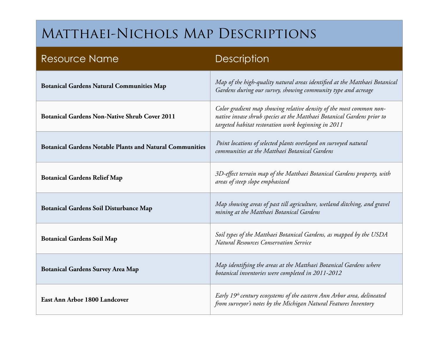| <b>Resource Name</b>                                            | <b>Description</b>                                                                                                                                                                                   |
|-----------------------------------------------------------------|------------------------------------------------------------------------------------------------------------------------------------------------------------------------------------------------------|
| <b>Botanical Gardens Natural Communities Map</b>                | Map of the high-quality natural areas identified at the Matthaei Botanical<br>Gardens during our survey, showing community type and acreage                                                          |
| <b>Botanical Gardens Non-Native Shrub Cover 2011</b>            | Color gradient map showing relative density of the most common non-<br>native invase shrub species at the Matthaei Botanical Gardens prior to<br>targeted habitat restoration work beginning in 2011 |
| <b>Botanical Gardens Notable Plants and Natural Communities</b> | Point locations of selected plants overlayed on surveyed natural<br>communities at the Matthaei Botanical Gardens                                                                                    |
| <b>Botanical Gardens Relief Map</b>                             | 3D-effect terrain map of the Matthaei Botanical Gardens property, with<br>areas of steep slope emphasized                                                                                            |
| <b>Botanical Gardens Soil Disturbance Map</b>                   | Map showing areas of past till agriculture, wetland ditching, and gravel<br>mining at the Matthaei Botanical Gardens                                                                                 |
| <b>Botanical Gardens Soil Map</b>                               | Soil types of the Matthaei Botanical Gardens, as mapped by the USDA<br><b>Natural Resources Conservation Service</b>                                                                                 |
| <b>Botanical Gardens Survey Area Map</b>                        | Map identifying the areas at the Matthaei Botanical Gardens where<br>botanical inventories were completed in 2011-2012                                                                               |
| East Ann Arbor 1800 Landcover                                   | Early $19th$ century ecosystems of the eastern Ann Arbor area, delineated<br>from surveyor's notes by the Michigan Natural Features Inventory                                                        |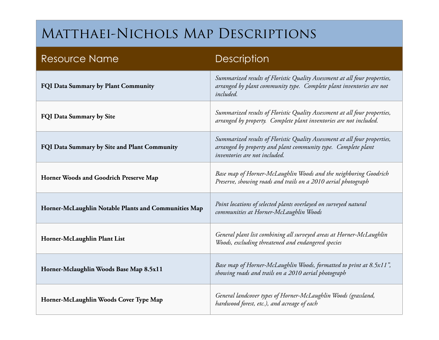| <b>Resource Name</b>                                 | Description                                                                                                                                                                  |
|------------------------------------------------------|------------------------------------------------------------------------------------------------------------------------------------------------------------------------------|
| <b>FQI Data Summary by Plant Community</b>           | Summarized results of Floristic Quality Assessment at all four properties,<br>arranged by plant community type. Complete plant inventories are not<br><i>included.</i>       |
| <b>FQI Data Summary by Site</b>                      | Summarized results of Floristic Quality Assessment at all four properties,<br>arranged by property. Complete plant inventories are not included.                             |
| FQI Data Summary by Site and Plant Community         | Summarized results of Floristic Quality Assessment at all four properties,<br>arranged by property and plant community type. Complete plant<br>inventories are not included. |
| Horner Woods and Goodrich Preserve Map               | Base map of Horner-McLaughlin Woods and the neighboring Goodrich<br>Preserve, showing roads and trails on a 2010 aerial photograph                                           |
| Horner-McLaughlin Notable Plants and Communities Map | Point locations of selected plants overlayed on surveyed natural<br>communities at Horner-McLaughlin Woods                                                                   |
| Horner-McLaughlin Plant List                         | General plant list combining all surveyed areas at Horner-McLaughlin<br>Woods, excluding threatened and endangered species                                                   |
| Horner-Mclaughlin Woods Base Map 8.5x11              | Base map of Horner-McLaughlin Woods, formatted to print at 8.5x11",<br>showing roads and trails on a 2010 aerial photograph                                                  |
| Horner-McLaughlin Woods Cover Type Map               | General landcover types of Horner-McLaughlin Woods (grassland,<br>hardwood forest, etc.), and acreage of each                                                                |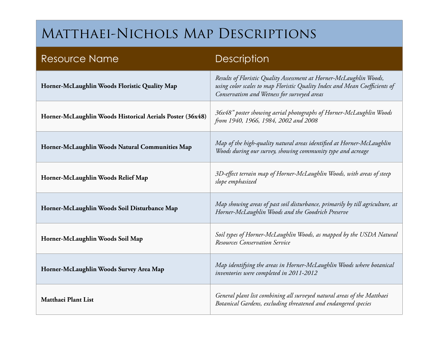| <b>Resource Name</b>                                      | <b>Description</b>                                                                                                                                                                               |
|-----------------------------------------------------------|--------------------------------------------------------------------------------------------------------------------------------------------------------------------------------------------------|
| Horner-McLaughlin Woods Floristic Quality Map             | Results of Floristic Quality Assessment at Horner-McLaughlin Woods,<br>using color scales to map Floristic Quality Index and Mean Coefficients of<br>Conservatism and Wetness for surveyed areas |
| Horner-McLaughlin Woods Historical Aerials Poster (36x48) | 36x48" poster showing aerial photographs of Horner-McLaughlin Woods<br>from 1940, 1966, 1984, 2002 and 2008                                                                                      |
| Horner-McLaughlin Woods Natural Communities Map           | Map of the high-quality natural areas identified at Horner-McLaughlin<br>Woods during our survey, showing community type and acreage                                                             |
| Horner-McLaughlin Woods Relief Map                        | 3D-effect terrain map of Horner-McLaughlin Woods, with areas of steep<br>slope emphasized                                                                                                        |
| Horner-McLaughlin Woods Soil Disturbance Map              | Map showing areas of past soil disturbance, primarily by till agriculture, at<br>Horner-McLaughlin Woods and the Goodrich Preserve                                                               |
| Horner-McLaughlin Woods Soil Map                          | Soil types of Horner-McLaughlin Woods, as mapped by the USDA Natural<br><b>Resources Conservation Service</b>                                                                                    |
| Horner-McLaughlin Woods Survey Area Map                   | Map identifying the areas in Horner-McLaughlin Woods where botanical<br>inventories were completed in 2011-2012                                                                                  |
| Matthaei Plant List                                       | General plant list combining all surveyed natural areas of the Matthaei<br>Botanical Gardens, excluding threatened and endangered species                                                        |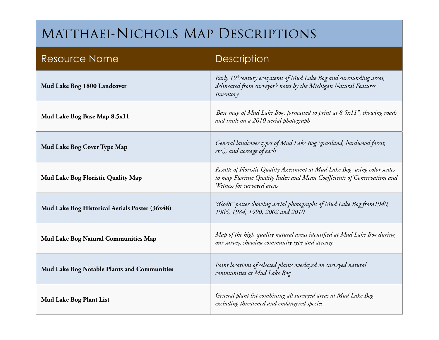| <b>Resource Name</b>                           | <b>Description</b>                                                                                                                                                                    |
|------------------------------------------------|---------------------------------------------------------------------------------------------------------------------------------------------------------------------------------------|
| Mud Lake Bog 1800 Landcover                    | Early 19 <sup>th</sup> century ecosystems of Mud Lake Bog and surrounding areas,<br>delineated from surveyor's notes by the Michigan Natural Features<br>Inventory                    |
| Mud Lake Bog Base Map 8.5x11                   | Base map of Mud Lake Bog, formatted to print at 8.5x11", showing roads<br>and trails on a 2010 aerial photograph                                                                      |
| Mud Lake Bog Cover Type Map                    | General landcover types of Mud Lake Bog (grassland, hardwood forest,<br>etc.), and acreage of each                                                                                    |
| <b>Mud Lake Bog Floristic Quality Map</b>      | Results of Floristic Quality Assessment at Mud Lake Bog, using color scales<br>to map Floristic Quality Index and Mean Coefficients of Conservatism and<br>Wetness for surveyed areas |
| Mud Lake Bog Historical Aerials Poster (36x48) | 36x48" poster showing aerial photographs of Mud Lake Bog from 1940,<br>1966, 1984, 1990, 2002 and 2010                                                                                |
| Mud Lake Bog Natural Communities Map           | Map of the high-quality natural areas identified at Mud Lake Bog during<br>our survey, showing community type and acreage                                                             |
| Mud Lake Bog Notable Plants and Communities    | Point locations of selected plants overlayed on surveyed natural<br>communities at Mud Lake Bog                                                                                       |
| <b>Mud Lake Bog Plant List</b>                 | General plant list combining all surveyed areas at Mud Lake Bog,<br>excluding threatened and endangered species                                                                       |